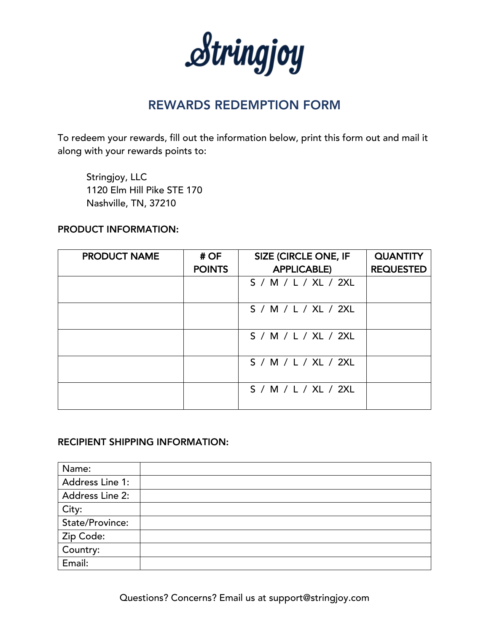Stringjoy

# REWARDS REDEMPTION FORM

To redeem your rewards, fill out the information below, print this form out and mail it along with your rewards points to:

Stringjoy, LLC 1120 Elm Hill Pike STE 170 Nashville, TN, 37210

## PRODUCT INFORMATION:

| <b>PRODUCT NAME</b> | #OF<br><b>POINTS</b> | <b>SIZE (CIRCLE ONE, IF</b><br><b>APPLICABLE)</b> | <b>QUANTITY</b><br><b>REQUESTED</b> |
|---------------------|----------------------|---------------------------------------------------|-------------------------------------|
|                     |                      | S / M / L / XL / 2XL                              |                                     |
|                     |                      | S / M / L / XL / 2XL                              |                                     |
|                     |                      | S / M / L / XL / 2XL                              |                                     |
|                     |                      | S / M / L / XL / 2XL                              |                                     |
|                     |                      | S / M / L / XL / 2XL                              |                                     |

## RECIPIENT SHIPPING INFORMATION:

| Name:           |  |
|-----------------|--|
| Address Line 1: |  |
| Address Line 2: |  |
| City:           |  |
| State/Province: |  |
| Zip Code:       |  |
| Country:        |  |
| Email:          |  |